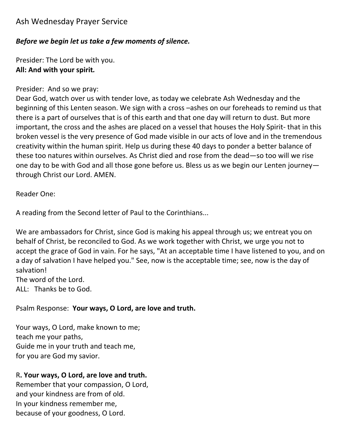# Ash Wednesday Prayer Service

### *Before we begin let us take a few moments of silence.*

Presider: The Lord be with you. **All: And with your spirit***.*

Presider: And so we pray:

Dear God, watch over us with tender love, as today we celebrate Ash Wednesday and the beginning of this Lenten season. We sign with a cross –ashes on our foreheads to remind us that there is a part of ourselves that is of this earth and that one day will return to dust. But more important, the cross and the ashes are placed on a vessel that houses the Holy Spirit- that in this broken vessel is the very presence of God made visible in our acts of love and in the tremendous creativity within the human spirit. Help us during these 40 days to ponder a better balance of these too natures within ourselves. As Christ died and rose from the dead—so too will we rise one day to be with God and all those gone before us. Bless us as we begin our Lenten journey through Christ our Lord. AMEN.

Reader One:

A reading from the Second letter of Paul to the Corinthians...

We are ambassadors for Christ, since God is making his appeal through us; we entreat you on behalf of Christ, be reconciled to God. As we work together with Christ, we urge you not to accept the grace of God in vain. For he says, "At an acceptable time I have listened to you, and on a day of salvation I have helped you." See, now is the acceptable time; see, now is the day of salvation!

The word of the Lord.

ALL: Thanks be to God.

#### Psalm Response: **Your ways, O Lord, are love and truth.**

Your ways, O Lord, make known to me; teach me your paths, Guide me in your truth and teach me, for you are God my savior.

### R**. Your ways, O Lord, are love and truth.**

Remember that your compassion, O Lord, and your kindness are from of old. In your kindness remember me, because of your goodness, O Lord.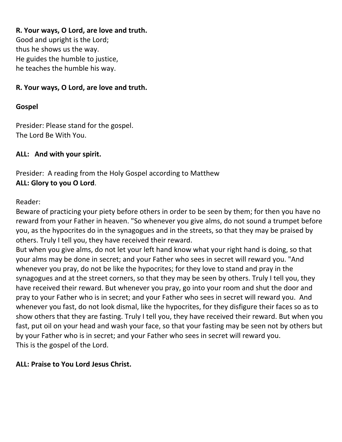### **R. Your ways, O Lord, are love and truth.**

Good and upright is the Lord; thus he shows us the way. He guides the humble to justice, he teaches the humble his way.

#### **R. Your ways, O Lord, are love and truth.**

#### **Gospel**

Presider: Please stand for the gospel. The Lord Be With You.

#### **ALL: And with your spirit.**

Presider: A reading from the Holy Gospel according to Matthew **ALL: Glory to you O Lord**.

#### Reader:

Beware of practicing your piety before others in order to be seen by them; for then you have no reward from your Father in heaven. "So whenever you give alms, do not sound a trumpet before you, as the hypocrites do in the synagogues and in the streets, so that they may be praised by others. Truly I tell you, they have received their reward.

But when you give alms, do not let your left hand know what your right hand is doing, so that your alms may be done in secret; and your Father who sees in secret will reward you. "And whenever you pray, do not be like the hypocrites; for they love to stand and pray in the synagogues and at the street corners, so that they may be seen by others. Truly I tell you, they have received their reward. But whenever you pray, go into your room and shut the door and pray to your Father who is in secret; and your Father who sees in secret will reward you. And whenever you fast, do not look dismal, like the hypocrites, for they disfigure their faces so as to show others that they are fasting. Truly I tell you, they have received their reward. But when you fast, put oil on your head and wash your face, so that your fasting may be seen not by others but by your Father who is in secret; and your Father who sees in secret will reward you. This is the gospel of the Lord.

#### **ALL: Praise to You Lord Jesus Christ.**